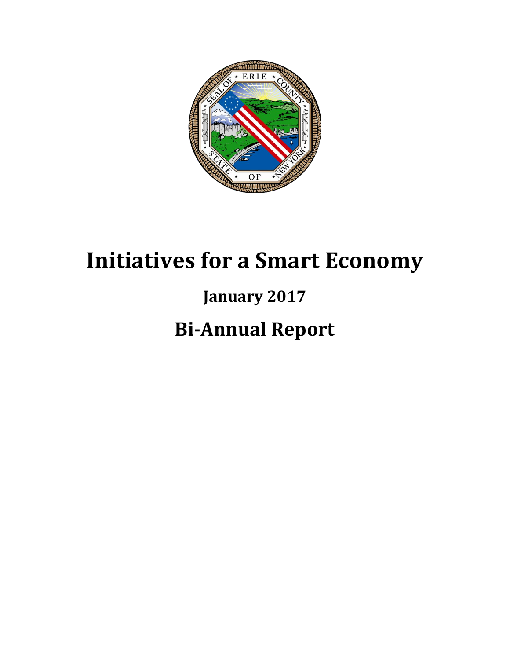

# **Initiatives for a Smart Economy**

## **January 2017**

# **Bi-Annual Report**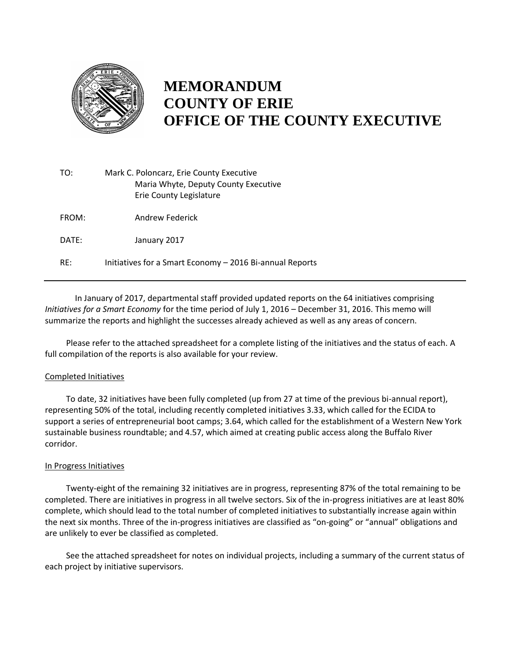

### **MEMORANDUM COUNTY OF ERIE OFFICE OF THE COUNTY EXECUTIVE**

| TO:   | Mark C. Poloncarz, Erie County Executive<br>Maria Whyte, Deputy County Executive<br>Erie County Legislature |
|-------|-------------------------------------------------------------------------------------------------------------|
| FROM: | Andrew Federick                                                                                             |
| DATF: | January 2017                                                                                                |
| RE:   | Initiatives for a Smart Economy – 2016 Bi-annual Reports                                                    |

In January of 2017, departmental staff provided updated reports on the 64 initiatives comprising *Initiatives for a Smart Economy* for the time period of July 1, 2016 – December 31, 2016. This memo will summarize the reports and highlight the successes already achieved as well as any areas of concern.

Please refer to the attached spreadsheet for a complete listing of the initiatives and the status of each. A full compilation of the reports is also available for your review.

#### Completed Initiatives

To date, 32 initiatives have been fully completed (up from 27 at time of the previous bi-annual report), representing 50% of the total, including recently completed initiatives 3.33, which called for the ECIDA to support a series of entrepreneurial boot camps; 3.64, which called for the establishment of a Western New York sustainable business roundtable; and 4.57, which aimed at creating public access along the Buffalo River corridor.

#### In Progress Initiatives

Twenty-eight of the remaining 32 initiatives are in progress, representing 87% of the total remaining to be completed. There are initiatives in progress in all twelve sectors. Six of the in-progress initiatives are at least 80% complete, which should lead to the total number of completed initiatives to substantially increase again within the next six months. Three of the in-progress initiatives are classified as "on-going" or "annual" obligations and are unlikely to ever be classified as completed.

See the attached spreadsheet for notes on individual projects, including a summary of the current status of each project by initiative supervisors.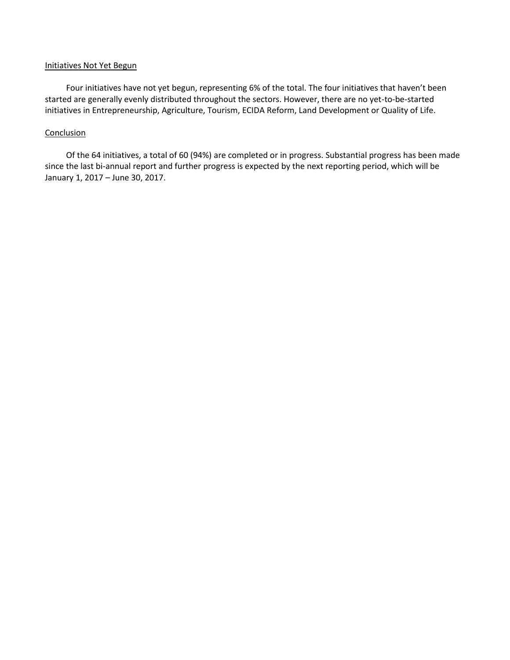#### Initiatives Not Yet Begun

Four initiatives have not yet begun, representing 6% of the total. The four initiatives that haven't been started are generally evenly distributed throughout the sectors. However, there are no yet-to-be-started initiatives in Entrepreneurship, Agriculture, Tourism, ECIDA Reform, Land Development or Quality of Life.

#### **Conclusion**

Of the 64 initiatives, a total of 60 (94%) are completed or in progress. Substantial progress has been made since the last bi-annual report and further progress is expected by the next reporting period, which will be January 1, 2017 – June 30, 2017.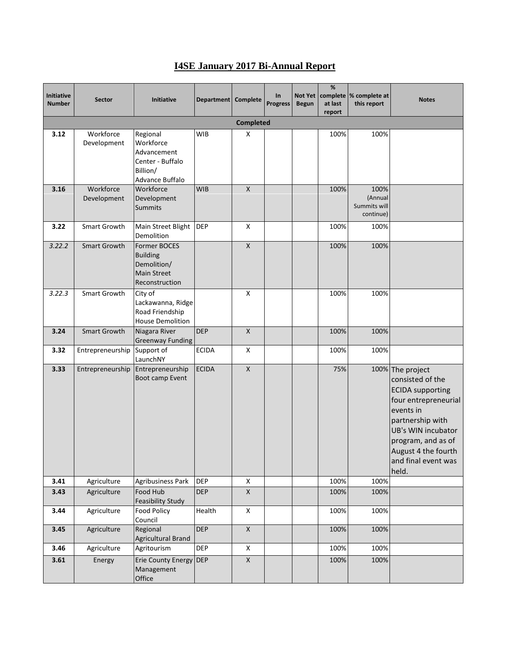#### **I4SE January 2017 Bi-Annual Report**

| <b>Initiative</b><br><b>Number</b> | <b>Sector</b>            | Initiative                                                                              | Department   | Complete           | In<br><b>Progress</b> | Not Yet  <br><b>Begun</b> | $\%$<br>at last<br>report | complete  % complete at<br>this report       | <b>Notes</b>                                                                                                                                                                                                                |  |
|------------------------------------|--------------------------|-----------------------------------------------------------------------------------------|--------------|--------------------|-----------------------|---------------------------|---------------------------|----------------------------------------------|-----------------------------------------------------------------------------------------------------------------------------------------------------------------------------------------------------------------------------|--|
| <b>Completed</b>                   |                          |                                                                                         |              |                    |                       |                           |                           |                                              |                                                                                                                                                                                                                             |  |
| 3.12                               | Workforce<br>Development | Regional<br>Workforce<br>Advancement<br>Center - Buffalo<br>Billion/<br>Advance Buffalo | <b>WIB</b>   | X                  |                       |                           | 100%                      | 100%                                         |                                                                                                                                                                                                                             |  |
| 3.16                               | Workforce<br>Development | Workforce<br>Development<br><b>Summits</b>                                              | <b>WIB</b>   | $\pmb{\times}$     |                       |                           | 100%                      | 100%<br>(Annual<br>Summits will<br>continue) |                                                                                                                                                                                                                             |  |
| 3.22                               | Smart Growth             | Main Street Blight<br>Demolition                                                        | <b>DEP</b>   | X                  |                       |                           | 100%                      | 100%                                         |                                                                                                                                                                                                                             |  |
| 3.22.2                             | Smart Growth             | Former BOCES<br><b>Building</b><br>Demolition/<br><b>Main Street</b><br>Reconstruction  |              | $\mathsf{x}$       |                       |                           | 100%                      | 100%                                         |                                                                                                                                                                                                                             |  |
| 3.22.3                             | Smart Growth             | City of<br>Lackawanna, Ridge<br>Road Friendship<br><b>House Demolition</b>              |              | X                  |                       |                           | 100%                      | 100%                                         |                                                                                                                                                                                                                             |  |
| 3.24                               | Smart Growth             | Niagara River<br><b>Greenway Funding</b>                                                | <b>DEP</b>   | X                  |                       |                           | 100%                      | 100%                                         |                                                                                                                                                                                                                             |  |
| 3.32                               | Entrepreneurship         | Support of<br>LaunchNY                                                                  | <b>ECIDA</b> | X                  |                       |                           | 100%                      | 100%                                         |                                                                                                                                                                                                                             |  |
| 3.33                               | Entrepreneurship         | Entrepreneurship<br>Boot camp Event                                                     | <b>ECIDA</b> | $\pmb{\times}$     |                       |                           | 75%                       |                                              | 100% The project<br>consisted of the<br><b>ECIDA</b> supporting<br>four entrepreneurial<br>events in<br>partnership with<br>UB's WIN incubator<br>program, and as of<br>August 4 the fourth<br>and final event was<br>held. |  |
| 3.41                               | Agriculture              | Agribusiness Park                                                                       | <b>DEP</b>   | X                  |                       |                           | 100%                      | 100%                                         |                                                                                                                                                                                                                             |  |
| 3.43                               | Agriculture              | Food Hub<br><b>Feasibility Study</b>                                                    | <b>DEP</b>   | $\pmb{\mathsf{X}}$ |                       |                           | 100%                      | 100%                                         |                                                                                                                                                                                                                             |  |
| 3.44                               | Agriculture              | Food Policy<br>Council                                                                  | Health       | X                  |                       |                           | 100%                      | 100%                                         |                                                                                                                                                                                                                             |  |
| 3.45                               | Agriculture              | Regional<br><b>Agricultural Brand</b>                                                   | <b>DEP</b>   | $\mathsf X$        |                       |                           | 100%                      | 100%                                         |                                                                                                                                                                                                                             |  |
| 3.46                               | Agriculture              | Agritourism                                                                             | <b>DEP</b>   | X                  |                       |                           | 100%                      | 100%                                         |                                                                                                                                                                                                                             |  |
| 3.61                               | Energy                   | Erie County Energy DEP<br>Management<br>Office                                          |              | $\mathsf X$        |                       |                           | 100%                      | 100%                                         |                                                                                                                                                                                                                             |  |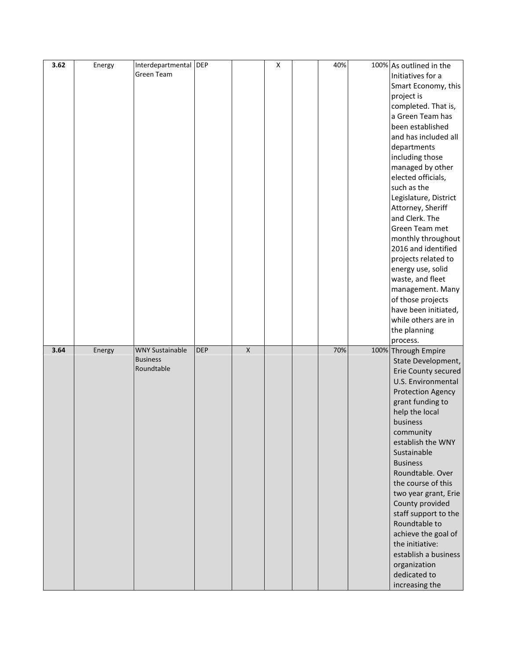| 3.62 | Energy | Interdepartmental      | DEP        |                    | $\overline{\mathbf{x}}$ | 40% | 100% As outlined in the  |
|------|--------|------------------------|------------|--------------------|-------------------------|-----|--------------------------|
|      |        | Green Team             |            |                    |                         |     | Initiatives for a        |
|      |        |                        |            |                    |                         |     | Smart Economy, this      |
|      |        |                        |            |                    |                         |     | project is               |
|      |        |                        |            |                    |                         |     | completed. That is,      |
|      |        |                        |            |                    |                         |     | a Green Team has         |
|      |        |                        |            |                    |                         |     | been established         |
|      |        |                        |            |                    |                         |     | and has included all     |
|      |        |                        |            |                    |                         |     |                          |
|      |        |                        |            |                    |                         |     | departments              |
|      |        |                        |            |                    |                         |     | including those          |
|      |        |                        |            |                    |                         |     | managed by other         |
|      |        |                        |            |                    |                         |     | elected officials,       |
|      |        |                        |            |                    |                         |     | such as the              |
|      |        |                        |            |                    |                         |     | Legislature, District    |
|      |        |                        |            |                    |                         |     | Attorney, Sheriff        |
|      |        |                        |            |                    |                         |     | and Clerk. The           |
|      |        |                        |            |                    |                         |     | Green Team met           |
|      |        |                        |            |                    |                         |     | monthly throughout       |
|      |        |                        |            |                    |                         |     | 2016 and identified      |
|      |        |                        |            |                    |                         |     | projects related to      |
|      |        |                        |            |                    |                         |     | energy use, solid        |
|      |        |                        |            |                    |                         |     | waste, and fleet         |
|      |        |                        |            |                    |                         |     | management. Many         |
|      |        |                        |            |                    |                         |     | of those projects        |
|      |        |                        |            |                    |                         |     | have been initiated,     |
|      |        |                        |            |                    |                         |     | while others are in      |
|      |        |                        |            |                    |                         |     | the planning             |
|      |        |                        |            |                    |                         |     | process.                 |
| 3.64 | Energy | <b>WNY Sustainable</b> | <b>DEP</b> | $\pmb{\mathsf{X}}$ |                         | 70% | 100% Through Empire      |
|      |        | <b>Business</b>        |            |                    |                         |     | State Development,       |
|      |        | Roundtable             |            |                    |                         |     | Erie County secured      |
|      |        |                        |            |                    |                         |     | U.S. Environmental       |
|      |        |                        |            |                    |                         |     | <b>Protection Agency</b> |
|      |        |                        |            |                    |                         |     | grant funding to         |
|      |        |                        |            |                    |                         |     | help the local           |
|      |        |                        |            |                    |                         |     | business                 |
|      |        |                        |            |                    |                         |     | community                |
|      |        |                        |            |                    |                         |     | establish the WNY        |
|      |        |                        |            |                    |                         |     | Sustainable              |
|      |        |                        |            |                    |                         |     | <b>Business</b>          |
|      |        |                        |            |                    |                         |     | Roundtable. Over         |
|      |        |                        |            |                    |                         |     | the course of this       |
|      |        |                        |            |                    |                         |     | two year grant, Erie     |
|      |        |                        |            |                    |                         |     | County provided          |
|      |        |                        |            |                    |                         |     | staff support to the     |
|      |        |                        |            |                    |                         |     | Roundtable to            |
|      |        |                        |            |                    |                         |     | achieve the goal of      |
|      |        |                        |            |                    |                         |     | the initiative:          |
|      |        |                        |            |                    |                         |     | establish a business     |
|      |        |                        |            |                    |                         |     | organization             |
|      |        |                        |            |                    |                         |     | dedicated to             |
|      |        |                        |            |                    |                         |     | increasing the           |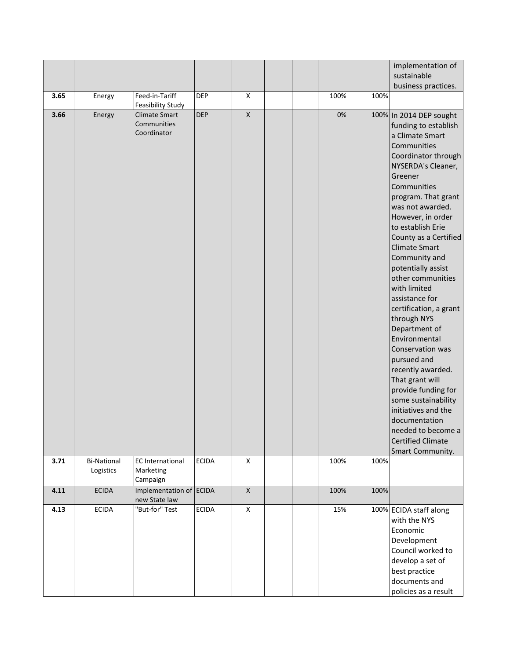|      |                                 |                                                    |              |                         |  |      |      | implementation of<br>sustainable                                                                                                                                                                                                                                                                                                                                                                                                                                                                                                                                                                                                                                                                                |
|------|---------------------------------|----------------------------------------------------|--------------|-------------------------|--|------|------|-----------------------------------------------------------------------------------------------------------------------------------------------------------------------------------------------------------------------------------------------------------------------------------------------------------------------------------------------------------------------------------------------------------------------------------------------------------------------------------------------------------------------------------------------------------------------------------------------------------------------------------------------------------------------------------------------------------------|
|      |                                 |                                                    |              |                         |  |      |      | business practices.                                                                                                                                                                                                                                                                                                                                                                                                                                                                                                                                                                                                                                                                                             |
| 3.65 | Energy                          | Feed-in-Tariff<br>Feasibility Study                | <b>DEP</b>   | X                       |  | 100% | 100% |                                                                                                                                                                                                                                                                                                                                                                                                                                                                                                                                                                                                                                                                                                                 |
| 3.66 | Energy                          | <b>Climate Smart</b><br>Communities<br>Coordinator | <b>DEP</b>   | $\overline{\mathsf{X}}$ |  | 0%   |      | 100% In 2014 DEP sought<br>funding to establish<br>a Climate Smart<br>Communities<br>Coordinator through<br>NYSERDA's Cleaner,<br>Greener<br>Communities<br>program. That grant<br>was not awarded.<br>However, in order<br>to establish Erie<br>County as a Certified<br><b>Climate Smart</b><br>Community and<br>potentially assist<br>other communities<br>with limited<br>assistance for<br>certification, a grant<br>through NYS<br>Department of<br>Environmental<br>Conservation was<br>pursued and<br>recently awarded.<br>That grant will<br>provide funding for<br>some sustainability<br>initiatives and the<br>documentation<br>Ineeded to become a<br><b>Certified Climate</b><br>Smart Community. |
| 3.71 | <b>Bi-National</b><br>Logistics | <b>EC</b> International<br>Marketing<br>Campaign   | <b>ECIDA</b> | $\mathsf{X}$            |  | 100% | 100% |                                                                                                                                                                                                                                                                                                                                                                                                                                                                                                                                                                                                                                                                                                                 |
| 4.11 | <b>ECIDA</b>                    | Implementation of ECIDA<br>new State law           |              | $\mathsf X$             |  | 100% | 100% |                                                                                                                                                                                                                                                                                                                                                                                                                                                                                                                                                                                                                                                                                                                 |
| 4.13 | <b>ECIDA</b>                    | "But-for" Test                                     | <b>ECIDA</b> | $\pmb{\mathsf{X}}$      |  | 15%  |      | 100% ECIDA staff along<br>with the NYS<br>Economic<br>Development<br>Council worked to<br>develop a set of<br>best practice<br>documents and<br>policies as a result                                                                                                                                                                                                                                                                                                                                                                                                                                                                                                                                            |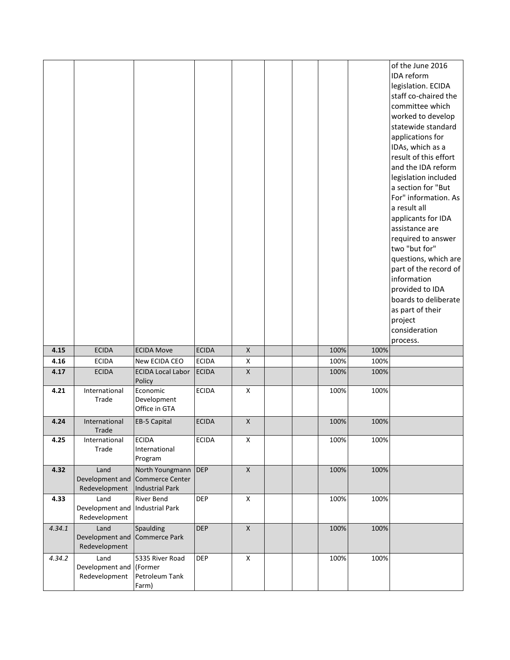|        |                                                            |                                                                       |              |                    |  |      |      | of the June 2016<br>IDA reform<br>legislation. ECIDA<br>staff co-chaired the<br>committee which<br>worked to develop<br>statewide standard<br>applications for<br>IDAs, which as a<br>result of this effort<br>and the IDA reform<br>legislation included<br>a section for "But<br>For" information. As<br>a result all<br>applicants for IDA<br>assistance are<br>required to answer<br>two "but for"<br>questions, which are<br>part of the record of<br>information<br>provided to IDA<br>boards to deliberate<br>as part of their<br>project<br>consideration<br>process. |
|--------|------------------------------------------------------------|-----------------------------------------------------------------------|--------------|--------------------|--|------|------|-------------------------------------------------------------------------------------------------------------------------------------------------------------------------------------------------------------------------------------------------------------------------------------------------------------------------------------------------------------------------------------------------------------------------------------------------------------------------------------------------------------------------------------------------------------------------------|
| 4.15   | <b>ECIDA</b>                                               | <b>ECIDA Move</b>                                                     | <b>ECIDA</b> | $\pmb{\mathsf{X}}$ |  | 100% | 100% |                                                                                                                                                                                                                                                                                                                                                                                                                                                                                                                                                                               |
| 4.16   | <b>ECIDA</b>                                               | New ECIDA CEO                                                         | <b>ECIDA</b> | X                  |  | 100% | 100% |                                                                                                                                                                                                                                                                                                                                                                                                                                                                                                                                                                               |
| 4.17   | <b>ECIDA</b>                                               | <b>ECIDA Local Labor</b><br>Policy                                    | <b>ECIDA</b> | $\pmb{\times}$     |  | 100% | 100% |                                                                                                                                                                                                                                                                                                                                                                                                                                                                                                                                                                               |
| 4.21   | International<br>Trade                                     | Economic<br>Development<br>Office in GTA                              | <b>ECIDA</b> | $\pmb{\mathsf{X}}$ |  | 100% | 100% |                                                                                                                                                                                                                                                                                                                                                                                                                                                                                                                                                                               |
| 4.24   | International<br>Trade                                     | EB-5 Capital                                                          | <b>ECIDA</b> | $\pmb{\mathsf{X}}$ |  | 100% | 100% |                                                                                                                                                                                                                                                                                                                                                                                                                                                                                                                                                                               |
| 4.25   | International<br>Trade                                     | <b>ECIDA</b><br>International<br>Program                              | <b>ECIDA</b> | $\pmb{\mathsf{X}}$ |  | 100% | 100% |                                                                                                                                                                                                                                                                                                                                                                                                                                                                                                                                                                               |
| 4.32   | Land<br>Redevelopment                                      | North Youngmann<br>Development and Commerce Center<br>Industrial Park | DEP          | $\mathsf X$        |  | 100% | 100% |                                                                                                                                                                                                                                                                                                                                                                                                                                                                                                                                                                               |
| 4.33   | Land<br>Development and   Industrial Park<br>Redevelopment | <b>River Bend</b>                                                     | <b>DEP</b>   | $\pmb{\mathsf{X}}$ |  | 100% | 100% |                                                                                                                                                                                                                                                                                                                                                                                                                                                                                                                                                                               |
| 4.34.1 | Land<br>Development and Commerce Park<br>Redevelopment     | Spaulding                                                             | <b>DEP</b>   | $\mathsf X$        |  | 100% | 100% |                                                                                                                                                                                                                                                                                                                                                                                                                                                                                                                                                                               |
| 4.34.2 | Land<br>Development and (Former<br>Redevelopment           | 5335 River Road<br>Petroleum Tank<br>Farm)                            | <b>DEP</b>   | X                  |  | 100% | 100% |                                                                                                                                                                                                                                                                                                                                                                                                                                                                                                                                                                               |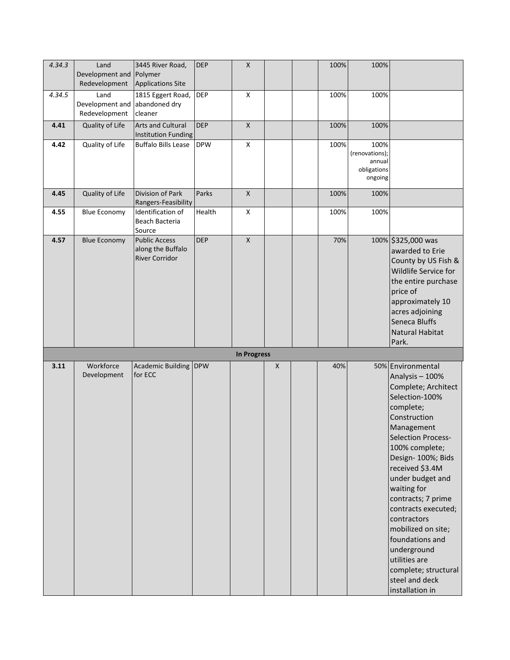| 4.34.3 | Land<br>Development and<br>Redevelopment | 3445 River Road,<br>Polymer<br><b>Applications Site</b>            | <b>DEP</b> | $\pmb{\times}$     |              | 100% | 100%                                                       |                                                                                                                                                                                                                                                                                                                                                                                                                                                |
|--------|------------------------------------------|--------------------------------------------------------------------|------------|--------------------|--------------|------|------------------------------------------------------------|------------------------------------------------------------------------------------------------------------------------------------------------------------------------------------------------------------------------------------------------------------------------------------------------------------------------------------------------------------------------------------------------------------------------------------------------|
| 4.34.5 | Land<br>Development and<br>Redevelopment | 1815 Eggert Road,<br>abandoned dry<br>cleaner                      | <b>DEP</b> | X                  |              | 100% | 100%                                                       |                                                                                                                                                                                                                                                                                                                                                                                                                                                |
| 4.41   | Quality of Life                          | Arts and Cultural<br>Institution Funding                           | <b>DEP</b> | $\mathsf X$        |              | 100% | 100%                                                       |                                                                                                                                                                                                                                                                                                                                                                                                                                                |
| 4.42   | Quality of Life                          | <b>Buffalo Bills Lease</b>                                         | <b>DPW</b> | $\pmb{\mathsf{X}}$ |              | 100% | 100%<br>(renovations);<br>annual<br>obligations<br>ongoing |                                                                                                                                                                                                                                                                                                                                                                                                                                                |
| 4.45   | Quality of Life                          | Division of Park<br>Rangers-Feasibility                            | Parks      | $\mathsf X$        |              | 100% | 100%                                                       |                                                                                                                                                                                                                                                                                                                                                                                                                                                |
| 4.55   | <b>Blue Economy</b>                      | Identification of<br>Beach Bacteria<br>Source                      | Health     | X                  |              | 100% | 100%                                                       |                                                                                                                                                                                                                                                                                                                                                                                                                                                |
| 4.57   | <b>Blue Economy</b>                      | <b>Public Access</b><br>along the Buffalo<br><b>River Corridor</b> | <b>DEP</b> | $\pmb{\mathsf{X}}$ |              | 70%  |                                                            | 100% \$325,000 was<br>awarded to Erie<br>County by US Fish &<br>Wildlife Service for<br>the entire purchase<br>price of<br>approximately 10<br>acres adjoining<br>Seneca Bluffs<br><b>Natural Habitat</b><br>Park.                                                                                                                                                                                                                             |
|        |                                          |                                                                    |            | <b>In Progress</b> |              |      |                                                            |                                                                                                                                                                                                                                                                                                                                                                                                                                                |
| 3.11   | Workforce<br>Development                 | Academic Building DPW<br>for ECC                                   |            |                    | $\mathsf{X}$ | 40%  |                                                            | 50% Environmental<br>Analysis - 100%<br>Complete; Architect<br>Selection-100%<br>complete;<br>Construction<br>Management<br>Selection Process-<br>100% complete;<br>Design- 100%; Bids<br>received \$3.4M<br>under budget and<br>waiting for<br>contracts; 7 prime<br>contracts executed;<br>contractors<br>mobilized on site;<br>foundations and<br>underground<br>utilities are<br>complete; structural<br>steel and deck<br>installation in |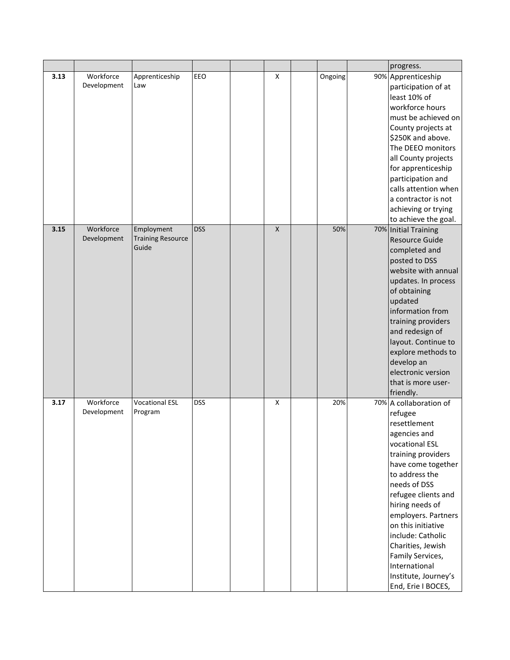|      |             |                                        |            |                    |         | progress.                                     |
|------|-------------|----------------------------------------|------------|--------------------|---------|-----------------------------------------------|
| 3.13 | Workforce   | Apprenticeship                         | EEO        | $\pmb{\times}$     | Ongoing | 90% Apprenticeship                            |
|      | Development | Law                                    |            |                    |         | participation of at                           |
|      |             |                                        |            |                    |         | least 10% of                                  |
|      |             |                                        |            |                    |         | workforce hours                               |
|      |             |                                        |            |                    |         | must be achieved on                           |
|      |             |                                        |            |                    |         | County projects at                            |
|      |             |                                        |            |                    |         | \$250K and above.                             |
|      |             |                                        |            |                    |         | The DEEO monitors                             |
|      |             |                                        |            |                    |         | all County projects                           |
|      |             |                                        |            |                    |         | for apprenticeship                            |
|      |             |                                        |            |                    |         | participation and                             |
|      |             |                                        |            |                    |         | calls attention when                          |
|      |             |                                        |            |                    |         | a contractor is not                           |
|      |             |                                        |            |                    |         | achieving or trying                           |
| 3.15 | Workforce   |                                        | <b>DSS</b> | $\pmb{\mathsf{X}}$ | 50%     | to achieve the goal.                          |
|      | Development | Employment<br><b>Training Resource</b> |            |                    |         | 70% Initial Training<br><b>Resource Guide</b> |
|      |             | Guide                                  |            |                    |         | completed and                                 |
|      |             |                                        |            |                    |         | posted to DSS                                 |
|      |             |                                        |            |                    |         | website with annual                           |
|      |             |                                        |            |                    |         | updates. In process                           |
|      |             |                                        |            |                    |         | of obtaining                                  |
|      |             |                                        |            |                    |         | updated                                       |
|      |             |                                        |            |                    |         | information from                              |
|      |             |                                        |            |                    |         | training providers                            |
|      |             |                                        |            |                    |         | and redesign of                               |
|      |             |                                        |            |                    |         | layout. Continue to                           |
|      |             |                                        |            |                    |         | explore methods to                            |
|      |             |                                        |            |                    |         | develop an                                    |
|      |             |                                        |            |                    |         | electronic version                            |
|      |             |                                        |            |                    |         | that is more user-                            |
|      |             |                                        |            |                    |         | friendly.                                     |
| 3.17 | Workforce   | <b>Vocational ESL</b>                  | <b>DSS</b> | $\pmb{\times}$     | 20%     | 70% A collaboration of                        |
|      | Development | Program                                |            |                    |         | refugee                                       |
|      |             |                                        |            |                    |         | resettlement                                  |
|      |             |                                        |            |                    |         | agencies and                                  |
|      |             |                                        |            |                    |         | vocational ESL                                |
|      |             |                                        |            |                    |         | training providers                            |
|      |             |                                        |            |                    |         | have come together<br>to address the          |
|      |             |                                        |            |                    |         | needs of DSS                                  |
|      |             |                                        |            |                    |         | refugee clients and                           |
|      |             |                                        |            |                    |         | hiring needs of                               |
|      |             |                                        |            |                    |         | employers. Partners                           |
|      |             |                                        |            |                    |         | on this initiative                            |
|      |             |                                        |            |                    |         | include: Catholic                             |
|      |             |                                        |            |                    |         | Charities, Jewish                             |
|      |             |                                        |            |                    |         | Family Services,                              |
|      |             |                                        |            |                    |         | International                                 |
|      |             |                                        |            |                    |         | Institute, Journey's                          |
|      |             |                                        |            |                    |         | End, Erie I BOCES,                            |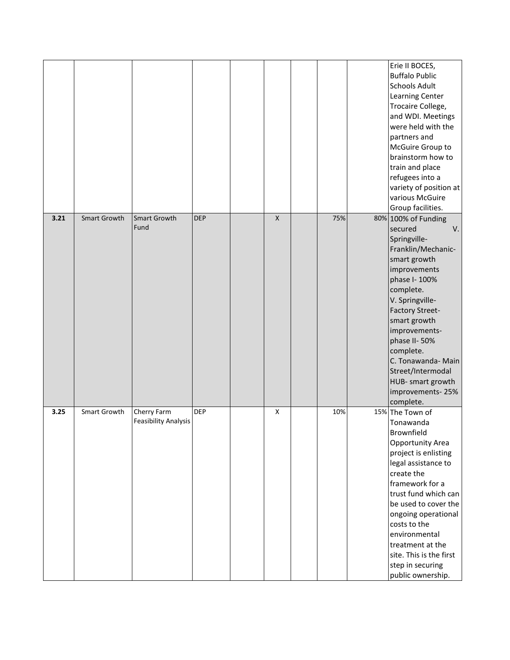|      |              |                             |            |              |     | Erie II BOCES,          |
|------|--------------|-----------------------------|------------|--------------|-----|-------------------------|
|      |              |                             |            |              |     | <b>Buffalo Public</b>   |
|      |              |                             |            |              |     | <b>Schools Adult</b>    |
|      |              |                             |            |              |     | Learning Center         |
|      |              |                             |            |              |     | Trocaire College,       |
|      |              |                             |            |              |     | and WDI. Meetings       |
|      |              |                             |            |              |     | were held with the      |
|      |              |                             |            |              |     | partners and            |
|      |              |                             |            |              |     | McGuire Group to        |
|      |              |                             |            |              |     | brainstorm how to       |
|      |              |                             |            |              |     |                         |
|      |              |                             |            |              |     | train and place         |
|      |              |                             |            |              |     | refugees into a         |
|      |              |                             |            |              |     | variety of position at  |
|      |              |                             |            |              |     | various McGuire         |
|      |              |                             |            |              |     | Group facilities.       |
| 3.21 | Smart Growth | <b>Smart Growth</b>         | <b>DEP</b> | $\mathsf{X}$ | 75% | 80% 100% of Funding     |
|      |              | Fund                        |            |              |     | secured<br>V.           |
|      |              |                             |            |              |     | Springville-            |
|      |              |                             |            |              |     | Franklin/Mechanic-      |
|      |              |                             |            |              |     | smart growth            |
|      |              |                             |            |              |     | improvements            |
|      |              |                             |            |              |     | phase I-100%            |
|      |              |                             |            |              |     | complete.               |
|      |              |                             |            |              |     | V. Springville-         |
|      |              |                             |            |              |     | <b>Factory Street-</b>  |
|      |              |                             |            |              |     | smart growth            |
|      |              |                             |            |              |     | improvements-           |
|      |              |                             |            |              |     | phase II-50%            |
|      |              |                             |            |              |     | complete.               |
|      |              |                             |            |              |     | C. Tonawanda- Main      |
|      |              |                             |            |              |     | Street/Intermodal       |
|      |              |                             |            |              |     | HUB- smart growth       |
|      |              |                             |            |              |     | improvements-25%        |
|      |              |                             |            |              |     | complete.               |
| 3.25 | Smart Growth | Cherry Farm                 | <b>DEP</b> | X            | 10% | 15% The Town of         |
|      |              | <b>Feasibility Analysis</b> |            |              |     | Tonawanda               |
|      |              |                             |            |              |     | Brownfield              |
|      |              |                             |            |              |     | Opportunity Area        |
|      |              |                             |            |              |     |                         |
|      |              |                             |            |              |     | project is enlisting    |
|      |              |                             |            |              |     | legal assistance to     |
|      |              |                             |            |              |     | create the              |
|      |              |                             |            |              |     | framework for a         |
|      |              |                             |            |              |     | trust fund which can    |
|      |              |                             |            |              |     | be used to cover the    |
|      |              |                             |            |              |     | ongoing operational     |
|      |              |                             |            |              |     | costs to the            |
|      |              |                             |            |              |     | environmental           |
|      |              |                             |            |              |     | treatment at the        |
|      |              |                             |            |              |     | site. This is the first |
|      |              |                             |            |              |     | step in securing        |
|      |              |                             |            |              |     | public ownership.       |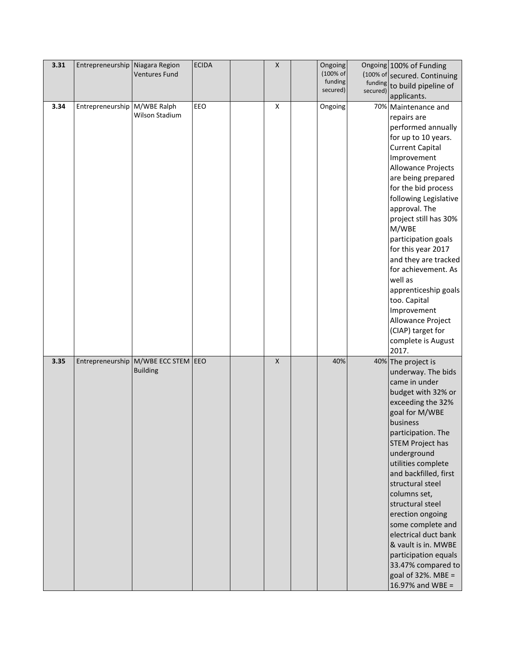| 3.31 | Entrepreneurship Niagara Region | <b>Ventures Fund</b>                                   | <b>ECIDA</b> | $\mathsf X$    | Ongoing<br>(100% of<br>funding<br>secured) | funding<br>secured) | Ongoing 100% of Funding<br>(100% of secured. Continuing<br>to build pipeline of<br>applicants.                                                                                                                                                                                                                                                                                                                                                                                                                        |
|------|---------------------------------|--------------------------------------------------------|--------------|----------------|--------------------------------------------|---------------------|-----------------------------------------------------------------------------------------------------------------------------------------------------------------------------------------------------------------------------------------------------------------------------------------------------------------------------------------------------------------------------------------------------------------------------------------------------------------------------------------------------------------------|
| 3.34 | Entrepreneurship M/WBE Ralph    | Wilson Stadium                                         | EEO          | X              | Ongoing                                    |                     | 70% Maintenance and<br>repairs are<br>performed annually<br>for up to 10 years.<br><b>Current Capital</b><br>Improvement<br><b>Allowance Projects</b><br>are being prepared<br>for the bid process<br>following Legislative<br>approval. The<br>project still has 30%<br>M/WBE<br>participation goals<br>for this year 2017<br>and they are tracked<br>for achievement. As<br>well as<br>apprenticeship goals<br>too. Capital<br>Improvement<br>Allowance Project<br>(CIAP) target for<br>complete is August<br>2017. |
| 3.35 |                                 | Entrepreneurship M/WBE ECC STEM EEO<br><b>Building</b> |              | $\pmb{\times}$ | 40%                                        |                     | 40% The project is<br>underway. The bids<br>came in under<br>budget with 32% or<br>exceeding the 32%<br>goal for M/WBE<br>business<br>participation. The<br><b>STEM Project has</b><br>underground<br>utilities complete<br>and backfilled, first<br>structural steel<br>columns set,<br>structural steel<br>erection ongoing<br>some complete and<br>electrical duct bank<br>& vault is in. MWBE<br>participation equals<br>33.47% compared to<br>goal of 32%. MBE =<br>16.97% and WBE =                             |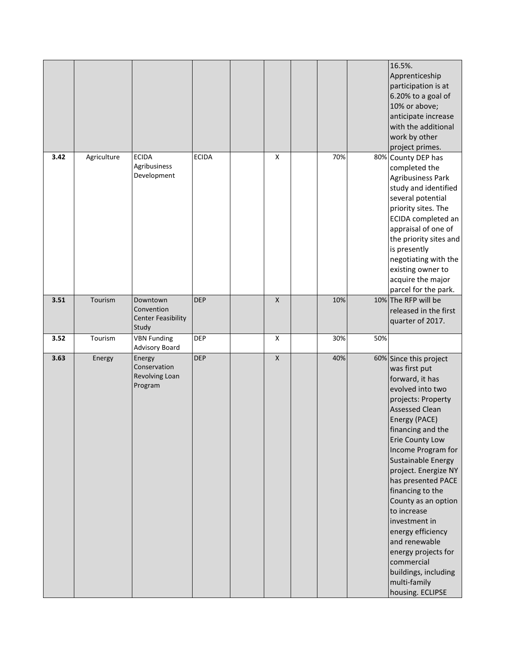|      |             |                                                              |              |                    |     |     | 16.5%.<br>Apprenticeship<br>participation is at<br>6.20% to a goal of<br>10% or above;<br>anticipate increase<br>with the additional<br>work by other<br>project primes.                                                                                                                                                                                                                                                                                                                                         |
|------|-------------|--------------------------------------------------------------|--------------|--------------------|-----|-----|------------------------------------------------------------------------------------------------------------------------------------------------------------------------------------------------------------------------------------------------------------------------------------------------------------------------------------------------------------------------------------------------------------------------------------------------------------------------------------------------------------------|
| 3.42 | Agriculture | <b>ECIDA</b><br>Agribusiness<br>Development                  | <b>ECIDA</b> | $\pmb{\times}$     | 70% |     | 80% County DEP has<br>completed the<br>Agribusiness Park<br>study and identified<br>several potential<br>priority sites. The<br>ECIDA completed an<br>appraisal of one of<br>the priority sites and<br>is presently<br>negotiating with the<br>existing owner to<br>acquire the major<br>parcel for the park.                                                                                                                                                                                                    |
| 3.51 | Tourism     | Downtown<br>Convention<br><b>Center Feasibility</b><br>Study | <b>DEP</b>   | $\pmb{\mathsf{X}}$ | 10% |     | 10% The RFP will be<br>released in the first<br>quarter of 2017.                                                                                                                                                                                                                                                                                                                                                                                                                                                 |
| 3.52 | Tourism     | <b>VBN Funding</b><br>Advisory Board                         | <b>DEP</b>   | $\mathsf{x}$       | 30% | 50% |                                                                                                                                                                                                                                                                                                                                                                                                                                                                                                                  |
| 3.63 | Energy      | Energy<br>Conservation<br>Revolving Loan<br>Program          | <b>DEP</b>   | $\mathsf X$        | 40% |     | 60% Since this project<br>was first put<br>forward, it has<br>evolved into two<br>projects: Property<br><b>Assessed Clean</b><br>Energy (PACE)<br>financing and the<br><b>Erie County Low</b><br>Income Program for<br><b>Sustainable Energy</b><br>project. Energize NY<br>has presented PACE<br>financing to the<br>County as an option<br>to increase<br>investment in<br>energy efficiency<br>and renewable<br>energy projects for<br>commercial<br>buildings, including<br>multi-family<br>housing. ECLIPSE |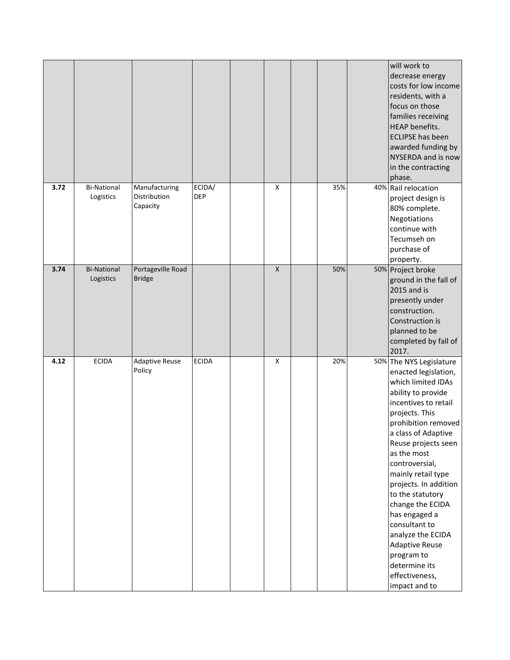|      |                                 |                                           |                      |                    |     | will work to<br>decrease energy<br>costs for low income<br>residents, with a<br>focus on those<br>families receiving<br><b>HEAP</b> benefits.<br><b>ECLIPSE has been</b><br>awarded funding by<br>NYSERDA and is now<br>in the contracting<br>phase.                                                                                                                                                                                                                                 |
|------|---------------------------------|-------------------------------------------|----------------------|--------------------|-----|--------------------------------------------------------------------------------------------------------------------------------------------------------------------------------------------------------------------------------------------------------------------------------------------------------------------------------------------------------------------------------------------------------------------------------------------------------------------------------------|
| 3.72 | <b>Bi-National</b><br>Logistics | Manufacturing<br>Distribution<br>Capacity | ECIDA/<br><b>DEP</b> | $\pmb{\mathsf{X}}$ | 35% | 40% Rail relocation<br>project design is<br>80% complete.<br>Negotiations<br>continue with<br>Tecumseh on<br>purchase of<br>property.                                                                                                                                                                                                                                                                                                                                                |
| 3.74 | <b>Bi-National</b><br>Logistics | Portageville Road<br><b>Bridge</b>        |                      | $\pmb{\mathsf{X}}$ | 50% | 50% Project broke<br>ground in the fall of<br>2015 and is<br>presently under<br>construction.<br>Construction is<br>planned to be<br>completed by fall of<br>2017.                                                                                                                                                                                                                                                                                                                   |
| 4.12 | <b>ECIDA</b>                    | <b>Adaptive Reuse</b><br>Policy           | <b>ECIDA</b>         | X                  | 20% | 50% The NYS Legislature<br>enacted legislation,<br>which limited IDAs<br>ability to provide<br>incentives to retail<br>projects. This<br>prohibition removed<br>a class of Adaptive<br>Reuse projects seen<br>as the most<br>controversial,<br>mainly retail type<br>projects. In addition<br>to the statutory<br>change the ECIDA<br>has engaged a<br>consultant to<br>analyze the ECIDA<br><b>Adaptive Reuse</b><br>program to<br>determine its<br>effectiveness,<br>impact and to |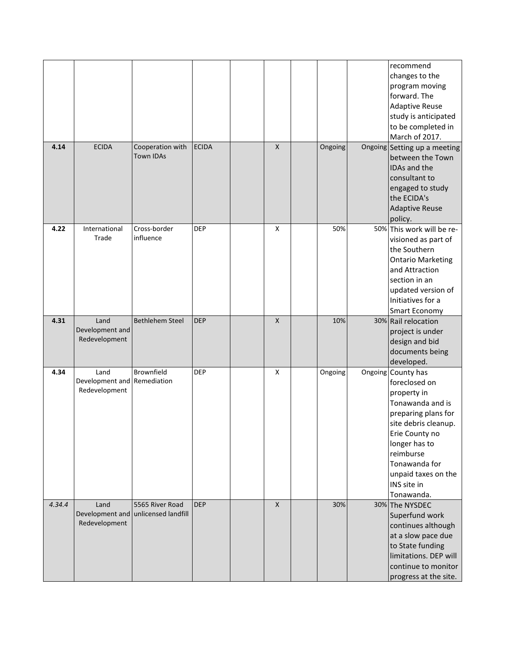| 4.14   | <b>ECIDA</b>                                         | Cooperation with<br><b>Town IDAs</b>                   | <b>ECIDA</b> | $\pmb{\times}$     | Ongoing | recommend<br>changes to the<br>program moving<br>forward. The<br><b>Adaptive Reuse</b><br>study is anticipated<br>to be completed in<br>March of 2017.<br>Ongoing Setting up a meeting<br>between the Town<br>IDAs and the<br>consultant to<br>engaged to study<br>the ECIDA's |
|--------|------------------------------------------------------|--------------------------------------------------------|--------------|--------------------|---------|--------------------------------------------------------------------------------------------------------------------------------------------------------------------------------------------------------------------------------------------------------------------------------|
|        |                                                      |                                                        |              |                    |         | <b>Adaptive Reuse</b><br>policy.                                                                                                                                                                                                                                               |
| 4.22   | International<br>Trade                               | Cross-border<br>influence                              | <b>DEP</b>   | $\pmb{\times}$     | 50%     | 50% This work will be re-<br>visioned as part of<br>the Southern<br><b>Ontario Marketing</b><br>and Attraction<br>section in an<br>updated version of<br>Initiatives for a<br>Smart Economy                                                                                    |
| 4.31   | Land<br>Development and<br>Redevelopment             | <b>Bethlehem Steel</b>                                 | <b>DEP</b>   | $\pmb{\mathsf{X}}$ | 10%     | 30% Rail relocation<br>project is under<br>design and bid<br>documents being<br>developed.                                                                                                                                                                                     |
| 4.34   | Land<br>Development and Remediation<br>Redevelopment | Brownfield                                             | <b>DEP</b>   | X                  | Ongoing | Ongoing County has<br>foreclosed on<br>property in<br>Tonawanda and is<br>preparing plans for<br>site debris cleanup.<br>Erie County no<br>longer has to<br>reimburse<br>Tonawanda for<br>unpaid taxes on the<br>INS site in<br>Tonawanda.                                     |
| 4.34.4 | Land<br>Redevelopment                                | 5565 River Road<br>Development and unlicensed landfill | <b>DEP</b>   | $\mathsf{x}$       | 30%     | 30% The NYSDEC<br>Superfund work<br>continues although<br>at a slow pace due<br>to State funding<br>limitations. DEP will<br>continue to monitor<br>progress at the site.                                                                                                      |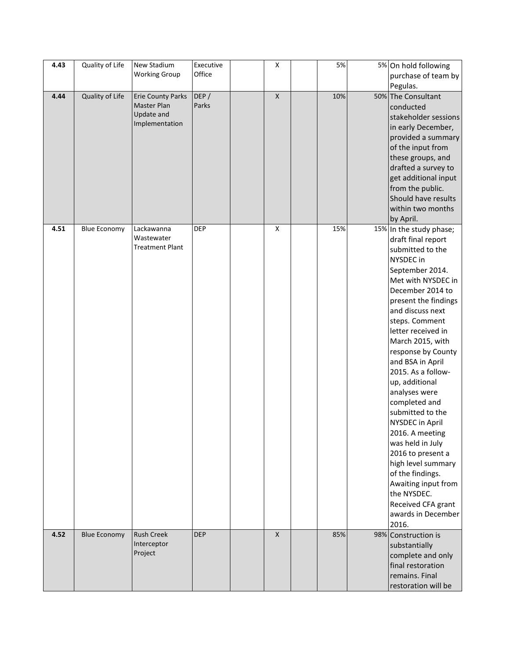| 4.43 | Quality of Life     | New Stadium<br><b>Working Group</b>                                     | Executive<br>Office | X                  | 5%  | 5% On hold following<br>purchase of team by<br>Pegulas.                                                                                                                                                                                                                                                                                                                                                                                                                                                                                                                                                         |
|------|---------------------|-------------------------------------------------------------------------|---------------------|--------------------|-----|-----------------------------------------------------------------------------------------------------------------------------------------------------------------------------------------------------------------------------------------------------------------------------------------------------------------------------------------------------------------------------------------------------------------------------------------------------------------------------------------------------------------------------------------------------------------------------------------------------------------|
| 4.44 | Quality of Life     | <b>Erie County Parks</b><br>Master Plan<br>Update and<br>Implementation | DEF /<br>Parks      | $\pmb{\mathsf{X}}$ | 10% | 50% The Consultant<br>conducted<br>stakeholder sessions<br>in early December,<br>provided a summary<br>of the input from<br>these groups, and<br>drafted a survey to<br>get additional input<br>from the public.<br>Should have results<br>within two months<br>by April.                                                                                                                                                                                                                                                                                                                                       |
| 4.51 | <b>Blue Economy</b> | Lackawanna<br>Wastewater<br><b>Treatment Plant</b>                      | <b>DEP</b>          | X                  | 15% | 15% In the study phase;<br>draft final report<br>submitted to the<br>NYSDEC in<br>September 2014.<br>Met with NYSDEC in<br>December 2014 to<br>present the findings<br>and discuss next<br>steps. Comment<br>letter received in<br>March 2015, with<br>response by County<br>and BSA in April<br>2015. As a follow-<br>up, additional<br>analyses were<br>completed and<br>submitted to the<br>NYSDEC in April<br>2016. A meeting<br>was held in July<br>2016 to present a<br>high level summary<br>of the findings.<br>Awaiting input from<br>the NYSDEC.<br>Received CFA grant<br>awards in December<br>2016. |
| 4.52 | <b>Blue Economy</b> | <b>Rush Creek</b><br>Interceptor<br>Project                             | <b>DEP</b>          | $\pmb{\mathsf{X}}$ | 85% | 98% Construction is<br>substantially<br>complete and only<br>final restoration<br>remains. Final<br>restoration will be                                                                                                                                                                                                                                                                                                                                                                                                                                                                                         |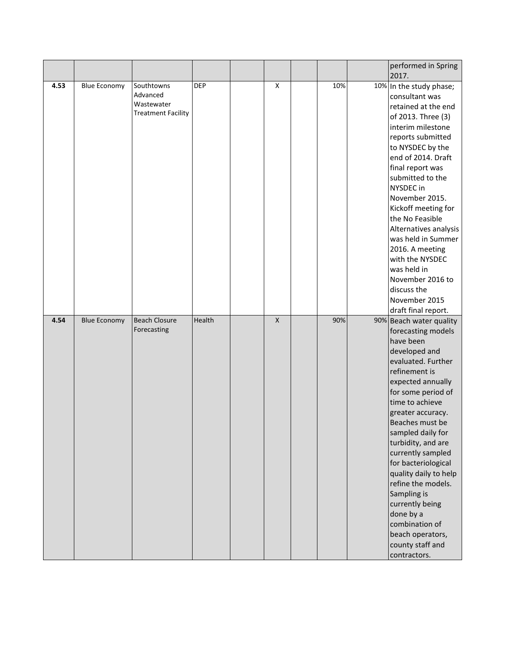|      |                     |                                                                   |            |              |     | performed in Spring<br>2017.                                                                                                                                                                                                                                                                                                                                                                                                                                                                                   |
|------|---------------------|-------------------------------------------------------------------|------------|--------------|-----|----------------------------------------------------------------------------------------------------------------------------------------------------------------------------------------------------------------------------------------------------------------------------------------------------------------------------------------------------------------------------------------------------------------------------------------------------------------------------------------------------------------|
| 4.53 | <b>Blue Economy</b> | Southtowns<br>Advanced<br>Wastewater<br><b>Treatment Facility</b> | <b>DEP</b> | X            | 10% | 10% In the study phase;<br>consultant was<br>retained at the end<br>of 2013. Three (3)<br>interim milestone<br>reports submitted<br>to NYSDEC by the<br>end of 2014. Draft<br>final report was<br>submitted to the<br>NYSDEC in<br>November 2015.<br>Kickoff meeting for<br>the No Feasible<br>Alternatives analysis<br>was held in Summer<br>2016. A meeting<br>with the NYSDEC<br>was held in<br>November 2016 to<br>discuss the<br>November 2015                                                            |
| 4.54 | <b>Blue Economy</b> | <b>Beach Closure</b><br>Forecasting                               | Health     | $\mathsf{x}$ | 90% | draft final report.<br>90% Beach water quality<br>forecasting models<br>have been<br>developed and<br>evaluated. Further<br>refinement is<br>expected annually<br>for some period of<br>time to achieve<br>greater accuracy.<br>Beaches must be<br>sampled daily for<br>turbidity, and are<br>currently sampled<br>for bacteriological<br>quality daily to help<br>refine the models.<br>Sampling is<br>currently being<br>done by a<br>combination of<br>beach operators,<br>county staff and<br>contractors. |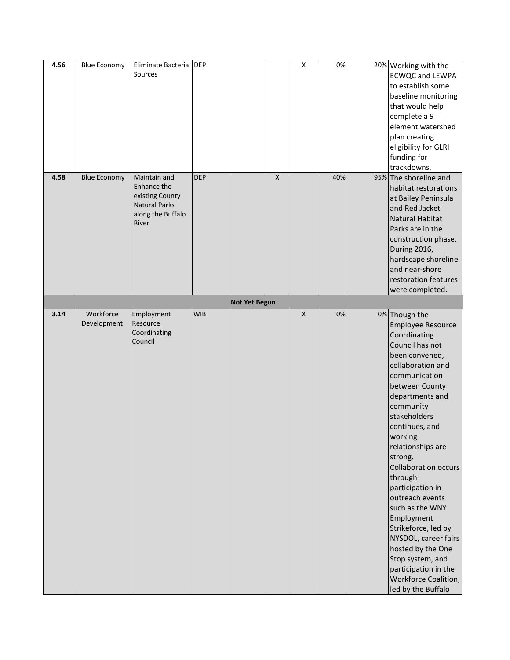| 4.56 | <b>Blue Economy</b>      | Eliminate Bacteria<br>Sources                                                                        | <b>DEP</b> |                      |              | $\pmb{\mathsf{X}}$ | 0%  | 20% Working with the<br><b>ECWQC and LEWPA</b><br>to establish some<br>baseline monitoring<br>that would help<br>complete a 9<br>element watershed<br>plan creating<br>eligibility for GLRI<br>funding for<br>trackdowns.                                                                                                                                                                                                                                                                                                             |
|------|--------------------------|------------------------------------------------------------------------------------------------------|------------|----------------------|--------------|--------------------|-----|---------------------------------------------------------------------------------------------------------------------------------------------------------------------------------------------------------------------------------------------------------------------------------------------------------------------------------------------------------------------------------------------------------------------------------------------------------------------------------------------------------------------------------------|
| 4.58 | <b>Blue Economy</b>      | Maintain and<br>Enhance the<br>existing County<br><b>Natural Parks</b><br>along the Buffalo<br>River | <b>DEP</b> |                      | $\mathsf{x}$ |                    | 40% | 95% The shoreline and<br>habitat restorations<br>at Bailey Peninsula<br>and Red Jacket<br><b>Natural Habitat</b><br>Parks are in the<br>construction phase.<br>During 2016,<br>hardscape shoreline<br>and near-shore<br>restoration features<br>were completed.                                                                                                                                                                                                                                                                       |
|      |                          |                                                                                                      |            | <b>Not Yet Begun</b> |              |                    |     |                                                                                                                                                                                                                                                                                                                                                                                                                                                                                                                                       |
| 3.14 | Workforce<br>Development | Employment<br>Resource<br>Coordinating<br>Council                                                    | <b>WIB</b> |                      |              | $\mathsf{x}$       | 0%  | 0% Though the<br>Employee Resource<br>Coordinating<br>Council has not<br>been convened,<br>collaboration and<br>communication<br>between County<br>departments and<br>community<br>stakeholders<br>continues, and<br>working<br>relationships are<br>strong.<br>Collaboration occurs<br>through<br>participation in<br>outreach events<br>such as the WNY<br>Employment<br>Strikeforce, led by<br>NYSDOL, career fairs<br>hosted by the One<br>Stop system, and<br>participation in the<br>Workforce Coalition,<br>led by the Buffalo |